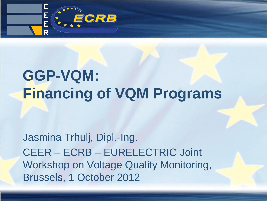

# **GGP-VQM: Financing of VQM Programs**

Jasmina Trhulj, Dipl.-Ing. CEER – ECRB – EURELECTRIC Joint Workshop on Voltage Quality Monitoring, Brussels, 1 October 2012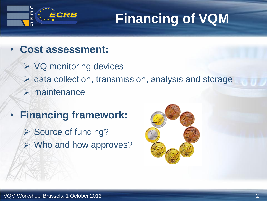

# **Financing of VQM**

- **Cost assessment:**
	- $\triangleright$  VQ monitoring devices
	- $\triangleright$  data collection, transmission, analysis and storage
	- $\triangleright$  maintenance
- **Financing framework:**
	- **► Source of funding? ► Who and how approves?**

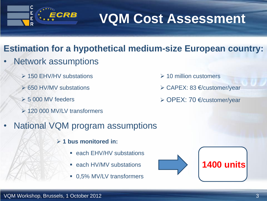

# **VQM Cost Assessment**

 $\geq 10$  million customers

CAPEX: 83 €/customer/year

OPEX: 70 €/customer/year

### **Estimation for a hypothetical medium-size European country:**

- Network assumptions
	- **▶ 150 EHV/HV substations**
	- **► 650 HV/MV substations**
	- $> 5000$  MV feeders
	- ▶ 120 000 MV/LV transformers
- National VQM program assumptions
	- **1 bus monitored in:**
		- each EHV/HV substations
		- **E** each HV/MV substations
		- 0,5% MV/LV transformers





#### VQM Workshop, Brussels, 1 October 2012 3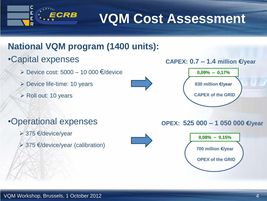

**VQM Cost Assessment**

### **National VQM program (1400 units):**

### •Capital expenses

- $\triangleright$  Device cost: 5000 10 000  $\epsilon$ /device
- Device life-time: 10 years
- $\triangleright$  Roll out: 10 years







### •Operational expenses

- 375 €/device/year
- $\geq$  375  $\in$ /device/year (calibration)





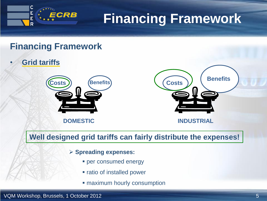

# **Financing Framework**

#### **Financing Framework**

• **Grid tariffs**



**DOMESTIC**



**Well designed grid tariffs can fairly distribute the expenses!**

#### **Spreading expenses:**

- **Per consumed energy**
- ratio of installed power
- **Example 1 maximum hourly consumption**

#### VQM Workshop, Brussels, 1 October 2012 **5** Second 1 Automatic 1 Automatic 1 Automatic 1 Automatic 1 Automatic 1 Second 1 Automatic 1 Second 1 Automatic 1 Second 1 Second 1 Automatic 1 Second 1 Second 1 Second 1 Second 1 Se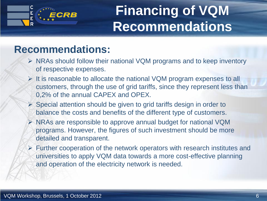# **Financing of VQM Recommendations**

## **Recommendations:**

ECRB

- $\triangleright$  NRAs should follow their national VQM programs and to keep inventory of respective expenses.
- $\triangleright$  It is reasonable to allocate the national VQM program expenses to all customers, through the use of grid tariffs, since they represent less than 0,2% of the annual CAPEX and OPEX.
- $\triangleright$  Special attention should be given to grid tariffs design in order to balance the costs and benefits of the different type of customers.
- NRAs are responsible to approve annual budget for national VQM programs. However, the figures of such investment should be more detailed and transparent.
- $\triangleright$  Further cooperation of the network operators with research institutes and universities to apply VQM data towards a more cost-effective planning and operation of the electricity network is needed.